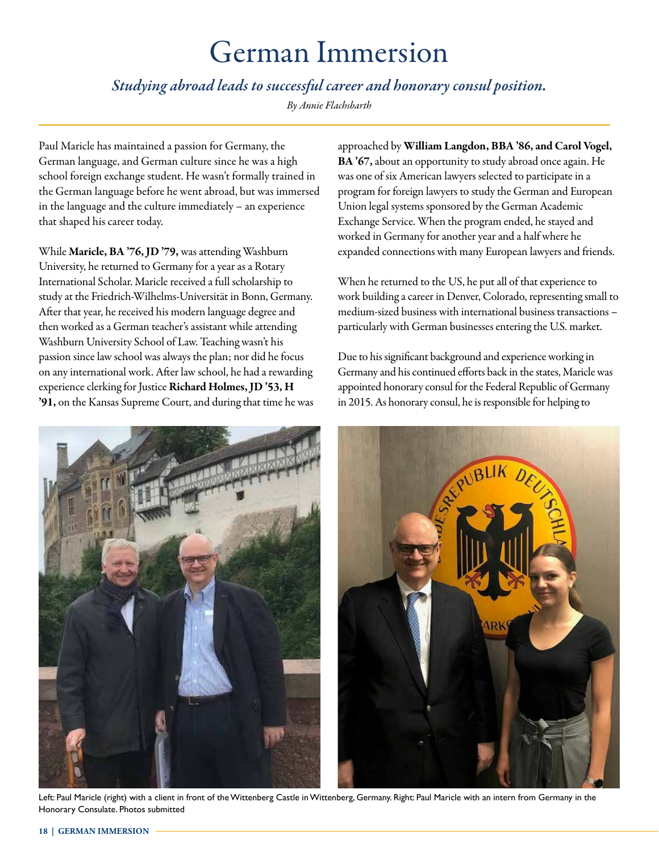## German Immersion

*Studying abroad leads to successful career and honorary consul position.* 

*By Annie Flachsbarth*

Paul Maricle has maintained a passion for Germany, the German language, and German culture since he was a high school foreign exchange student. He wasn't formally trained in the German language before he went abroad, but was immersed in the language and the culture immediately – an experience that shaped his career today.

While Maricle, BA '76, JD '79, was attending Washburn University, he returned to Germany for a year as a Rotary International Scholar. Maricle received a full scholarship to study at the Friedrich-Wilhelms-Universität in Bonn, Germany. After that year, he received his modern language degree and then worked as a German teacher's assistant while attending Washburn University School of Law. Teaching wasn't his passion since law school was always the plan; nor did he focus on any international work. After law school, he had a rewarding experience clerking for Justice Richard Holmes, JD '53, H '91, on the Kansas Supreme Court, and during that time he was approached by William Langdon, BBA '86, and Carol Vogel, BA '67, about an opportunity to study abroad once again. He was one of six American lawyers selected to participate in a program for foreign lawyers to study the German and European Union legal systems sponsored by the German Academic Exchange Service. When the program ended, he stayed and worked in Germany for another year and a half where he expanded connections with many European lawyers and friends.

When he returned to the US, he put all of that experience to work building a career in Denver, Colorado, representing small to medium-sized business with international business transactions – particularly with German businesses entering the U.S. market.

Due to his significant background and experience working in Germany and his continued efforts back in the states, Maricle was appointed honorary consul for the Federal Republic of Germany in 2015. As honorary consul, he is responsible for helping to



Left: Paul Maricle (right) with a client in front of the Wittenberg Castle in Wittenberg, Germany. Right: Paul Maricle with an intern from Germany in the Honorary Consulate. Photos submitted